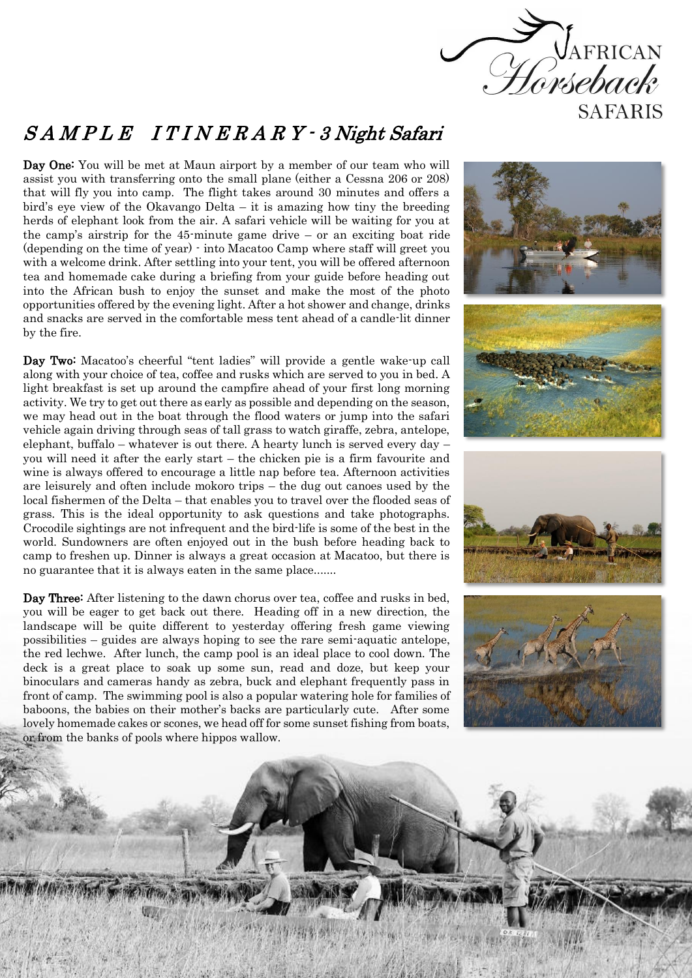

## S A M P L E I T I N E R A R Y - 3 Night Safari

Day One: You will be met at Maun airport by a member of our team who will assist you with transferring onto the small plane (either a Cessna 206 or 208) that will fly you into camp. The flight takes around 30 minutes and offers a bird's eye view of the Okavango Delta – it is amazing how tiny the breeding herds of elephant look from the air. A safari vehicle will be waiting for you at the camp's airstrip for the 45-minute game drive – or an exciting boat ride (depending on the time of year) - into Macatoo Camp where staff will greet you with a welcome drink. After settling into your tent, you will be offered afternoon tea and homemade cake during a briefing from your guide before heading out into the African bush to enjoy the sunset and make the most of the photo opportunities offered by the evening light. After a hot shower and change, drinks and snacks are served in the comfortable mess tent ahead of a candle-lit dinner by the fire.

Day Two: Macatoo's cheerful "tent ladies" will provide a gentle wake-up call along with your choice of tea, coffee and rusks which are served to you in bed. A light breakfast is set up around the campfire ahead of your first long morning activity. We try to get out there as early as possible and depending on the season, we may head out in the boat through the flood waters or jump into the safari vehicle again driving through seas of tall grass to watch giraffe, zebra, antelope, elephant, buffalo – whatever is out there. A hearty lunch is served every day – you will need it after the early start – the chicken pie is a firm favourite and wine is always offered to encourage a little nap before tea. Afternoon activities are leisurely and often include mokoro trips – the dug out canoes used by the local fishermen of the Delta – that enables you to travel over the flooded seas of grass. This is the ideal opportunity to ask questions and take photographs. Crocodile sightings are not infrequent and the bird-life is some of the best in the world. Sundowners are often enjoyed out in the bush before heading back to camp to freshen up. Dinner is always a great occasion at Macatoo, but there is no guarantee that it is always eaten in the same place.......

Day Three: After listening to the dawn chorus over tea, coffee and rusks in bed, you will be eager to get back out there. Heading off in a new direction, the landscape will be quite different to yesterday offering fresh game viewing possibilities – guides are always hoping to see the rare semi-aquatic antelope, the red lechwe. After lunch, the camp pool is an ideal place to cool down. The deck is a great place to soak up some sun, read and doze, but keep your binoculars and cameras handy as zebra, buck and elephant frequently pass in front of camp. The swimming pool is also a popular watering hole for families of baboons, the babies on their mother's backs are particularly cute. After some lovely homemade cakes or scones, we head off for some sunset fishing from boats, or from the banks of pools where hippos wallow.

š š